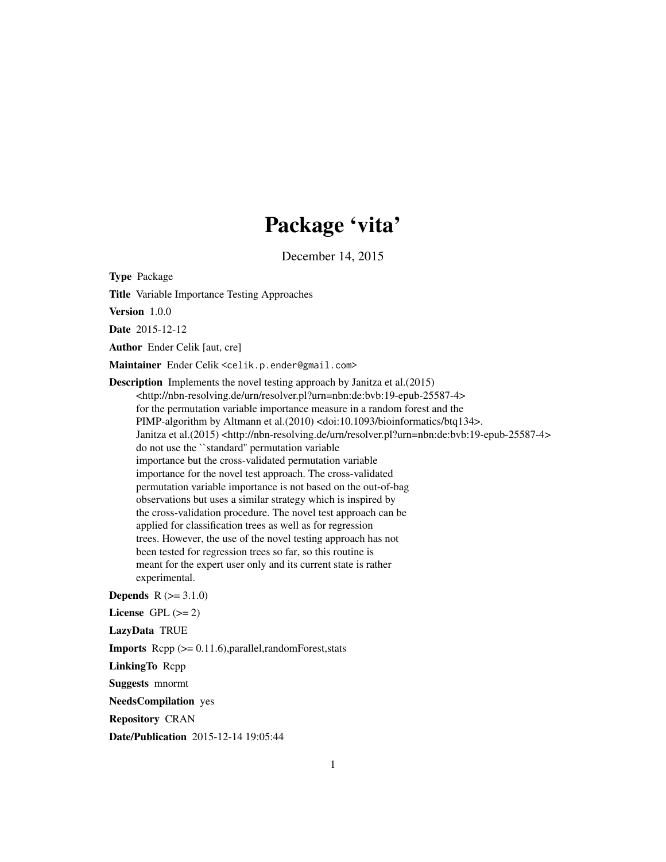# Package 'vita'

December 14, 2015

<span id="page-0-0"></span>Type Package

Title Variable Importance Testing Approaches

Version 1.0.0

Date 2015-12-12

Author Ender Celik [aut, cre]

Maintainer Ender Celik <celik.p.ender@gmail.com>

Description Implements the novel testing approach by Janitza et al.(2015) <http://nbn-resolving.de/urn/resolver.pl?urn=nbn:de:bvb:19-epub-25587-4> for the permutation variable importance measure in a random forest and the PIMP-algorithm by Altmann et al.(2010) <doi:10.1093/bioinformatics/btq134>. Janitza et al.(2015) <http://nbn-resolving.de/urn/resolver.pl?urn=nbn:de:bvb:19-epub-25587-4> do not use the ``standard'' permutation variable importance but the cross-validated permutation variable importance for the novel test approach. The cross-validated permutation variable importance is not based on the out-of-bag observations but uses a similar strategy which is inspired by the cross-validation procedure. The novel test approach can be applied for classification trees as well as for regression trees. However, the use of the novel testing approach has not been tested for regression trees so far, so this routine is meant for the expert user only and its current state is rather experimental. **Depends**  $R (= 3.1.0)$ 

License GPL  $(>= 2)$ 

LazyData TRUE

**Imports** Rcpp  $(>= 0.11.6)$ , parallel, random Forest, stats

LinkingTo Rcpp

Suggests mnormt

NeedsCompilation yes

Repository CRAN

Date/Publication 2015-12-14 19:05:44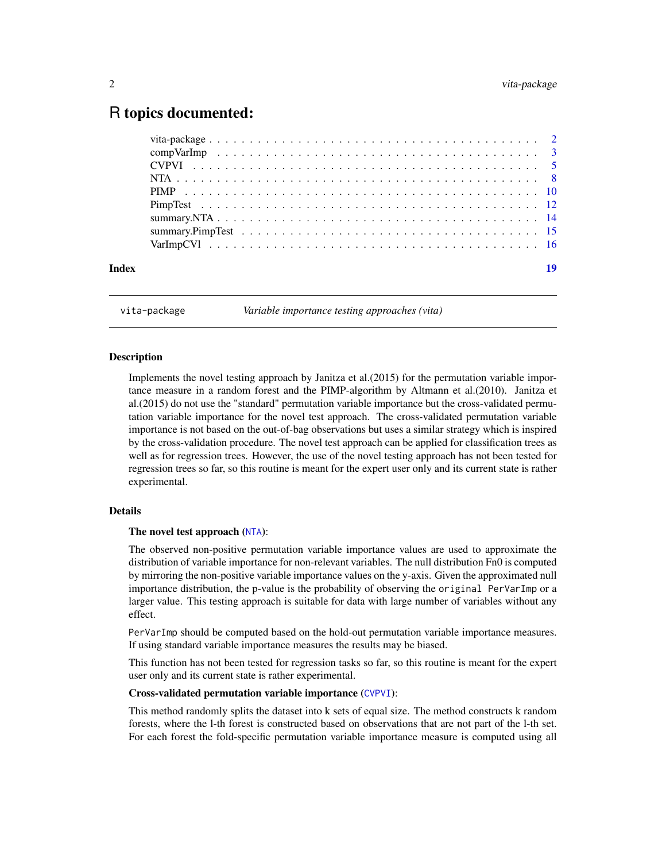# <span id="page-1-0"></span>R topics documented:

| Index | 10 |
|-------|----|
|       |    |

vita-package *Variable importance testing approaches (vita)*

### Description

Implements the novel testing approach by Janitza et al.(2015) for the permutation variable importance measure in a random forest and the PIMP-algorithm by Altmann et al.(2010). Janitza et al.(2015) do not use the "standard" permutation variable importance but the cross-validated permutation variable importance for the novel test approach. The cross-validated permutation variable importance is not based on the out-of-bag observations but uses a similar strategy which is inspired by the cross-validation procedure. The novel test approach can be applied for classification trees as well as for regression trees. However, the use of the novel testing approach has not been tested for regression trees so far, so this routine is meant for the expert user only and its current state is rather experimental.

#### Details

#### The novel test approach ([NTA](#page-7-1)):

The observed non-positive permutation variable importance values are used to approximate the distribution of variable importance for non-relevant variables. The null distribution Fn0 is computed by mirroring the non-positive variable importance values on the y-axis. Given the approximated null importance distribution, the p-value is the probability of observing the original PerVarImp or a larger value. This testing approach is suitable for data with large number of variables without any effect.

PerVarImp should be computed based on the hold-out permutation variable importance measures. If using standard variable importance measures the results may be biased.

This function has not been tested for regression tasks so far, so this routine is meant for the expert user only and its current state is rather experimental.

#### Cross-validated permutation variable importance ([CVPVI](#page-4-1)):

This method randomly splits the dataset into k sets of equal size. The method constructs k random forests, where the l-th forest is constructed based on observations that are not part of the l-th set. For each forest the fold-specific permutation variable importance measure is computed using all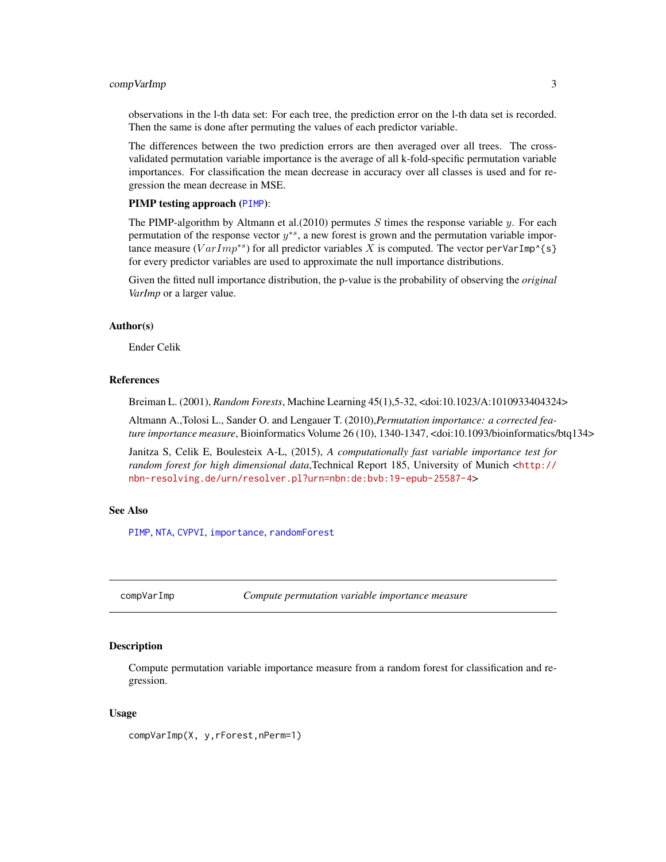# <span id="page-2-0"></span>compVarImp 3

observations in the l-th data set: For each tree, the prediction error on the l-th data set is recorded. Then the same is done after permuting the values of each predictor variable.

The differences between the two prediction errors are then averaged over all trees. The crossvalidated permutation variable importance is the average of all k-fold-specific permutation variable importances. For classification the mean decrease in accuracy over all classes is used and for regression the mean decrease in MSE.

#### PIMP testing approach ([PIMP](#page-9-1)):

The PIMP-algorithm by Altmann et al. (2010) permutes S times the response variable  $\gamma$ . For each permutation of the response vector  $y^{*s}$ , a new forest is grown and the permutation variable importance measure ( $VarImp^{*s}$ ) for all predictor variables X is computed. The vector perVarImp^{s} for every predictor variables are used to approximate the null importance distributions.

Given the fitted null importance distribution, the p-value is the probability of observing the *original VarImp* or a larger value.

#### Author(s)

Ender Celik

#### References

Breiman L. (2001), *Random Forests*, Machine Learning 45(1),5-32, <doi:10.1023/A:1010933404324>

Altmann A.,Tolosi L., Sander O. and Lengauer T. (2010),*Permutation importance: a corrected feature importance measure*, Bioinformatics Volume 26 (10), 1340-1347, <doi:10.1093/bioinformatics/btq134>

Janitza S, Celik E, Boulesteix A-L, (2015), *A computationally fast variable importance test for random forest for high dimensional data*,Technical Report 185, University of Munich <[http://](http://nbn-resolving.de/urn/resolver.pl?urn=nbn:de:bvb:19-epub-25587-4) [nbn-resolving.de/urn/resolver.pl?urn=nbn:de:bvb:19-epub-25587-4](http://nbn-resolving.de/urn/resolver.pl?urn=nbn:de:bvb:19-epub-25587-4)>

#### See Also

[PIMP](#page-9-1), [NTA](#page-7-1), [CVPVI](#page-4-1), [importance](#page-0-0), [randomForest](#page-0-0)

compVarImp *Compute permutation variable importance measure*

#### **Description**

Compute permutation variable importance measure from a random forest for classification and regression.

# Usage

compVarImp(X, y,rForest,nPerm=1)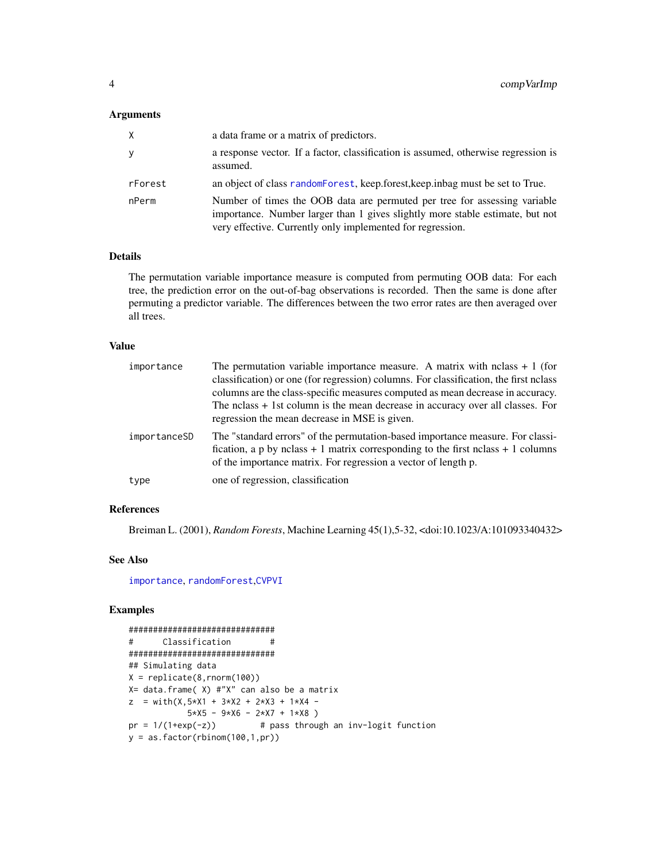#### <span id="page-3-0"></span>Arguments

| X       | a data frame or a matrix of predictors.                                                                                                                                                                                  |
|---------|--------------------------------------------------------------------------------------------------------------------------------------------------------------------------------------------------------------------------|
| У       | a response vector. If a factor, classification is assumed, otherwise regression is<br>assumed.                                                                                                                           |
| rForest | an object of class random Forest, keep forest, keep in bag must be set to True.                                                                                                                                          |
| nPerm   | Number of times the OOB data are permuted per tree for assessing variable<br>importance. Number larger than 1 gives slightly more stable estimate, but not<br>very effective. Currently only implemented for regression. |

# Details

The permutation variable importance measure is computed from permuting OOB data: For each tree, the prediction error on the out-of-bag observations is recorded. Then the same is done after permuting a predictor variable. The differences between the two error rates are then averaged over all trees.

# Value

| importance   | The permutation variable importance measure. A matrix with nclass $+1$ (for<br>classification) or one (for regression) columns. For classification, the first nclass<br>columns are the class-specific measures computed as mean decrease in accuracy.<br>The nclass $+$ 1st column is the mean decrease in accuracy over all classes. For<br>regression the mean decrease in MSE is given. |
|--------------|---------------------------------------------------------------------------------------------------------------------------------------------------------------------------------------------------------------------------------------------------------------------------------------------------------------------------------------------------------------------------------------------|
| importanceSD | The "standard errors" of the permutation-based importance measure. For classi-<br>fication, a p by nclass $+1$ matrix corresponding to the first nclass $+1$ columns<br>of the importance matrix. For regression a vector of length p.                                                                                                                                                      |
| type         | one of regression, classification                                                                                                                                                                                                                                                                                                                                                           |

# References

Breiman L. (2001), *Random Forests*, Machine Learning 45(1),5-32, <doi:10.1023/A:101093340432>

# See Also

[importance](#page-0-0), [randomForest](#page-0-0),[CVPVI](#page-4-1)

```
##############################
# Classification #
##############################
## Simulating data
X = \text{replicate}(8, \text{norm}(100))X= data.frame( X) #"X" can also be a matrix
z = with(X, 5*X1 + 3*X2 + 2*X3 + 1*X4 -5*X5 - 9*X6 - 2*X7 + 1*X8pr = 1/(1+exp(-z)) # pass through an inv-logit function
y = as.factor(rbinom{100,1,pr})
```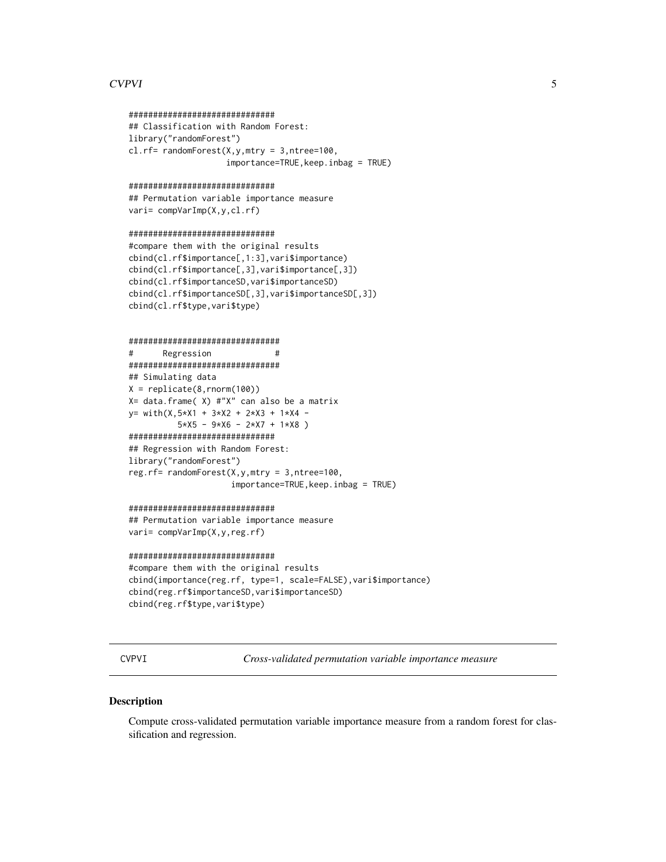# <span id="page-4-0"></span>**CVPVI**

#### ##############################

```
## Classification with Random Forest:
library("randomForest")
cl.rf= randomForest(X, y, mtry = 3, ntree=100,
                     importance=TRUE, keep.inbag = TRUE)
```
#### ##############################

```
## Permutation variable importance measure
vari= compVarImp(X,y,cl.rf)
```
#### ##############################

```
#compare them with the original results
cbind(cl.rf$importance[,1:3],vari$importance)
cbind(cl.rf$importance[,3], vari$importance[,3])
cbind(cl.rf$importanceSD, vari$importanceSD)
cbind(cl.rf$importanceSD[,3], vari$importanceSD[,3])
cbind(cl.rf$type,vari$type)
```
#### ##############################

```
#Regression
                               ################################
## Simulating data
X = \text{replicate}(8, \text{norm}(100))X= data.frame( X) #"X" can also be a matrix
y= with(X,5*X1 + 3*X2 + 2*X3 + 1*X4 -
          5*X5 - 9*X6 - 2*X7 + 1*X8)
#############################
## Regression with Random Forest:
library("randomForest")
reg.rf= randomForest(X, Y, mtry = 3, ntree=100,
                      importance=TRUE, keep. inbag = TRUE)
```
# #############################

```
## Permutation variable importance measure
vari= compVarImp(X,y,reg.rf)
```
#### ##############################

```
#compare them with the original results
cbind(importance(reg.rf, type=1, scale=FALSE), vari$importance)
cbind(reg.rf$importanceSD,vari$importanceSD)
cbind(reg.rf$type,vari$type)
```

```
CVPVI
```
Cross-validated permutation variable importance measure

#### **Description**

Compute cross-validated permutation variable importance measure from a random forest for classification and regression.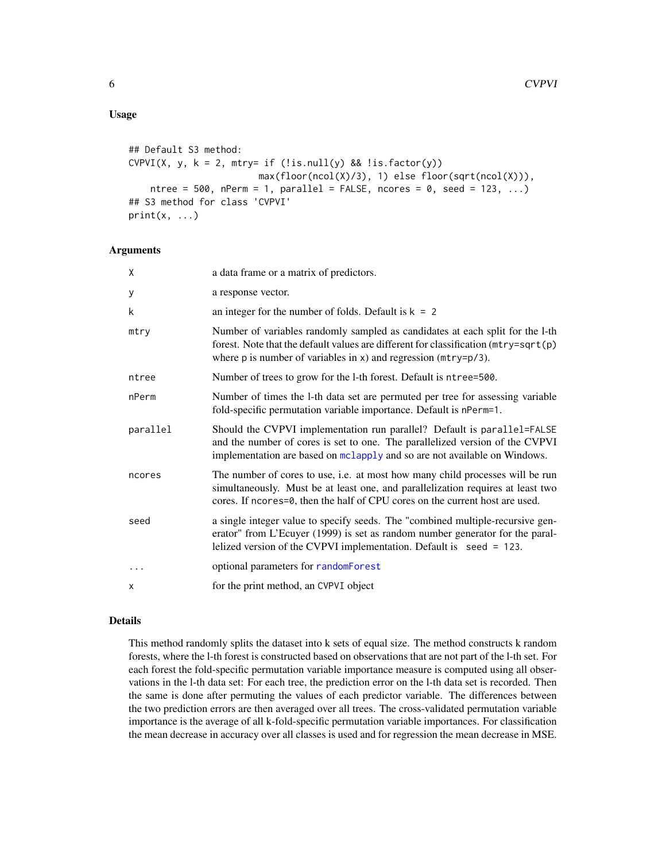# <span id="page-5-0"></span>Usage

```
## Default S3 method:
CVPVI(X, y, k = 2, mtry= if (!is.null(y) & !is.factor(y))max(floor(ncol(X)/3), 1) else floor(sqrt(ncol(X))),
   ntree = 500, nPerm = 1, parallel = FALSE, ncores = 0, seed = 123, ...)
## S3 method for class 'CVPVI'
print(x, \ldots)
```
# Arguments

| χ        | a data frame or a matrix of predictors.                                                                                                                                                                                                          |
|----------|--------------------------------------------------------------------------------------------------------------------------------------------------------------------------------------------------------------------------------------------------|
| y        | a response vector.                                                                                                                                                                                                                               |
| k        | an integer for the number of folds. Default is $k = 2$                                                                                                                                                                                           |
| mtry     | Number of variables randomly sampled as candidates at each split for the 1-th<br>forest. Note that the default values are different for classification (mtry=sqrt(p)<br>where $p$ is number of variables in $x$ ) and regression ( $mtry=p/3$ ). |
| ntree    | Number of trees to grow for the 1-th forest. Default is ntree=500.                                                                                                                                                                               |
| nPerm    | Number of times the 1-th data set are permuted per tree for assessing variable<br>fold-specific permutation variable importance. Default is nPerm=1.                                                                                             |
| parallel | Should the CVPVI implementation run parallel? Default is parallel=FALSE<br>and the number of cores is set to one. The parallelized version of the CVPVI<br>implementation are based on mclapply and so are not available on Windows.             |
| ncores   | The number of cores to use, i.e. at most how many child processes will be run<br>simultaneously. Must be at least one, and parallelization requires at least two<br>cores. If ncores=0, then the half of CPU cores on the current host are used. |
| seed     | a single integer value to specify seeds. The "combined multiple-recursive gen-<br>erator" from L'Ecuyer (1999) is set as random number generator for the paral-<br>lelized version of the CVPVI implementation. Default is seed = 123.           |
| $\cdots$ | optional parameters for randomForest                                                                                                                                                                                                             |
| X        | for the print method, an CVPVI object                                                                                                                                                                                                            |

#### Details

This method randomly splits the dataset into k sets of equal size. The method constructs k random forests, where the l-th forest is constructed based on observations that are not part of the l-th set. For each forest the fold-specific permutation variable importance measure is computed using all observations in the l-th data set: For each tree, the prediction error on the l-th data set is recorded. Then the same is done after permuting the values of each predictor variable. The differences between the two prediction errors are then averaged over all trees. The cross-validated permutation variable importance is the average of all k-fold-specific permutation variable importances. For classification the mean decrease in accuracy over all classes is used and for regression the mean decrease in MSE.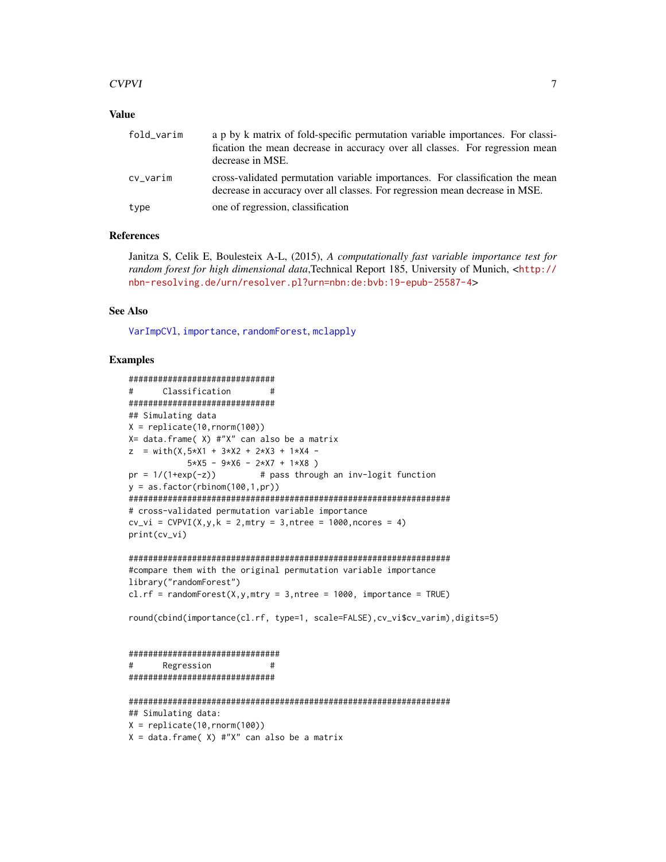# <span id="page-6-0"></span> $CVPVI$  7

# Value

| fold_varim | a p by k matrix of fold-specific permutation variable importances. For classi-<br>fication the mean decrease in accuracy over all classes. For regression mean<br>decrease in MSE. |
|------------|------------------------------------------------------------------------------------------------------------------------------------------------------------------------------------|
| cv_varim   | cross-validated permutation variable importances. For classification the mean<br>decrease in accuracy over all classes. For regression mean decrease in MSE.                       |
| type       | one of regression, classification                                                                                                                                                  |

#### References

Janitza S, Celik E, Boulesteix A-L, (2015), *A computationally fast variable importance test for random forest for high dimensional data*,Technical Report 185, University of Munich, <[http://](http://nbn-resolving.de/urn/resolver.pl?urn=nbn:de:bvb:19-epub-25587-4) [nbn-resolving.de/urn/resolver.pl?urn=nbn:de:bvb:19-epub-25587-4](http://nbn-resolving.de/urn/resolver.pl?urn=nbn:de:bvb:19-epub-25587-4)>

# See Also

[VarImpCVl](#page-15-1), [importance](#page-0-0), [randomForest](#page-0-0), [mclapply](#page-0-0)

#### Examples

```
##############################
# Classification #
##############################
## Simulating data
X = \text{replace}(10, \text{rnorm}(100))X= data.frame( X) #"X" can also be a matrix
z = with(X, 5*X1 + 3*X2 + 2*X3 + 1*X4 -5*X5 - 9*X6 - 2*X7 + 1*X8pr = 1/(1+exp(-z)) # pass through an inv-logit function
y = as.factor(rbinom{100,1,pr})##################################################################
# cross-validated permutation variable importance
cv\_vi = CVPVI(X, y, k = 2, mtry = 3, ntree = 1000, ncores = 4)print(cv_vi)
##################################################################
#compare them with the original permutation variable importance
```

```
library("randomForest")
cl.rf = randomForest(X, Y, mtry = 3, ntree = 1000, importance = TRUE)
```
round(cbind(importance(cl.rf, type=1, scale=FALSE),cv\_vi\$cv\_varim),digits=5)

```
###############################
# Regression #
##############################
```

```
##################################################################
## Simulating data:
X = \text{replicate}(10, \text{rnorm}(100))X = data. frame(X) #"X" can also be a matrix
```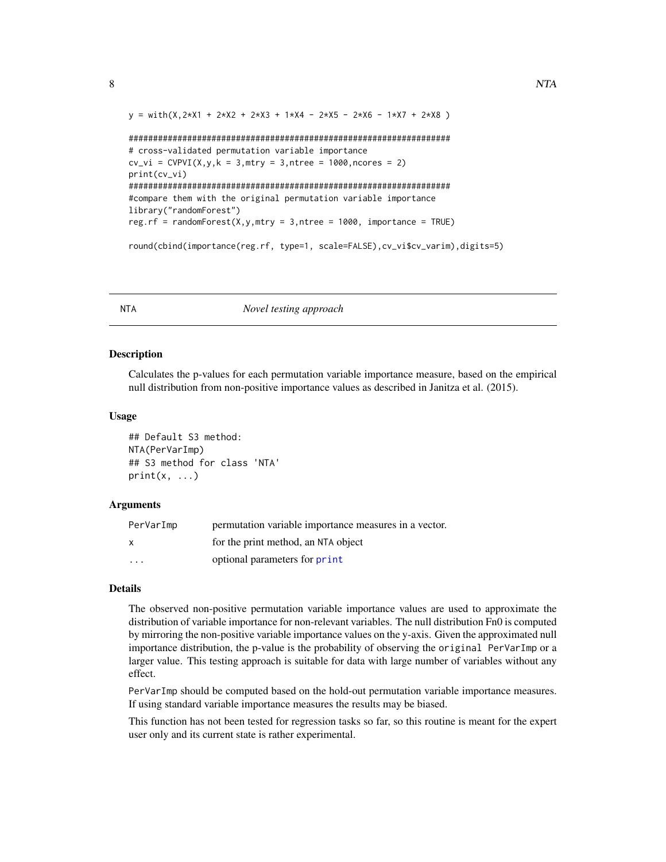```
y = with(X, 2*X1 + 2*X2 + 2*X3 + 1*X4 - 2*X5 - 2*X6 - 1*X7 + 2*X8)##################################################################
# cross-validated permutation variable importance
cv\_vi = CVPVI(X, y, k = 3, mtry = 3, ntree = 1000, ncores = 2)print(cv_vi)
##################################################################
#compare them with the original permutation variable importance
library("randomForest")
reg.rf = randomForest(X,y,mtry = 3,ntree = 1000, importance = TRUE)
```
round(cbind(importance(reg.rf, type=1, scale=FALSE),cv\_vi\$cv\_varim),digits=5)

<span id="page-7-1"></span>

NTA *Novel testing approach*

# Description

Calculates the p-values for each permutation variable importance measure, based on the empirical null distribution from non-positive importance values as described in Janitza et al. (2015).

#### Usage

## Default S3 method: NTA(PerVarImp) ## S3 method for class 'NTA'  $print(x, \ldots)$ 

#### **Arguments**

| PerVarImp               | permutation variable importance measures in a vector. |
|-------------------------|-------------------------------------------------------|
| x                       | for the print method, an NTA object                   |
| $\cdot$ $\cdot$ $\cdot$ | optional parameters for print                         |

#### Details

The observed non-positive permutation variable importance values are used to approximate the distribution of variable importance for non-relevant variables. The null distribution Fn0 is computed by mirroring the non-positive variable importance values on the y-axis. Given the approximated null importance distribution, the p-value is the probability of observing the original PerVarImp or a larger value. This testing approach is suitable for data with large number of variables without any effect.

PerVarImp should be computed based on the hold-out permutation variable importance measures. If using standard variable importance measures the results may be biased.

This function has not been tested for regression tasks so far, so this routine is meant for the expert user only and its current state is rather experimental.

<span id="page-7-0"></span>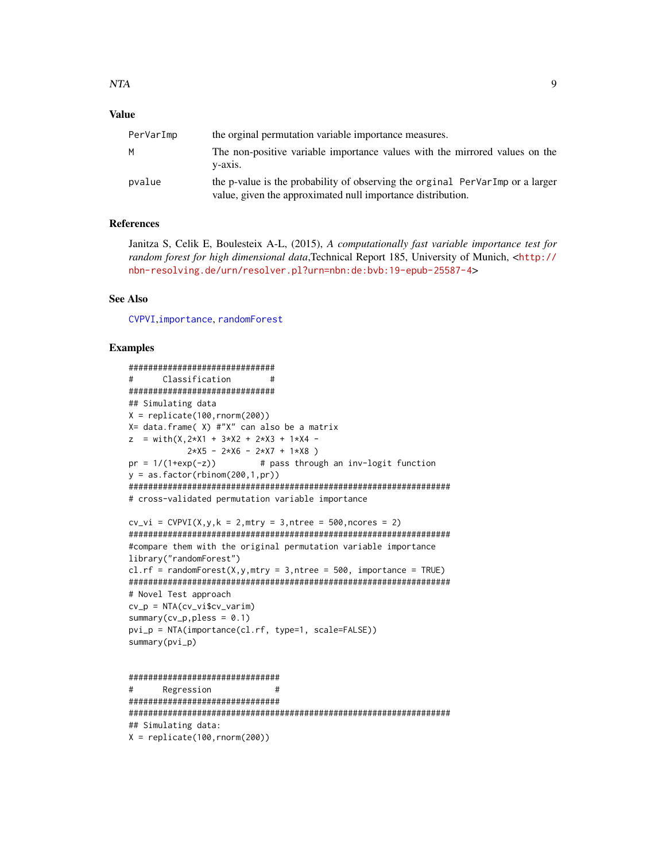# <span id="page-8-0"></span>**Value**

| PerVarImp | the orginal permutation variable importance measures.                                                                                        |
|-----------|----------------------------------------------------------------------------------------------------------------------------------------------|
| M         | The non-positive variable importance values with the mirrored values on the<br>$V - 2X1S$ .                                                  |
| pvalue    | the p-value is the probability of observing the orginal PerVarImp or a larger<br>value, given the approximated null importance distribution. |

# **References**

Janitza S, Celik E, Boulesteix A-L, (2015), A computationally fast variable importance test for random forest for high dimensional data, Technical Report 185, University of Munich, <http:// nbn-resolving.de/urn/resolver.pl?urn=nbn:de:bvb:19-epub-25587-4>

#### **See Also**

CVPVI.importance.randomForest

```
##############################
#Classification
                     ###############################
## Simulating data
X = \text{replicate}(100, \text{rnorm}(200))X= data.frame( X) #"X" can also be a matrix
z = with(X, 2*X1 + 3*X2 + 2*X3 + 1*X4 -2*X5 - 2*X6 - 2*X7 + 1*X8)
pr = 1/(1+exp(-z))# pass through an inv-logit function
y = as.factor(rbinom(200,1,pr))# cross-validated permutation variable importance
cv_v = CVPVI(X, y, k = 2, mtry = 3, ntree = 500, ncores = 2)#compare them with the original permutation variable importance
library("randomForest")
cl.rf = randomForest(X, y, mtry = 3, ntree = 500, importance = TRUE)
# Novel Test approach
cv_p = NTA(cv_vi$cv_varin)summary(cv_p, pless = 0.1)pvi_p = NTA(importance(cl.rf, type=1, scale=FALSE))
summary(pvi_p)
###############################
#Regression
                       ################################
```

```
## Simulating data:
```

```
X = replicate(100, rnorm(200))
```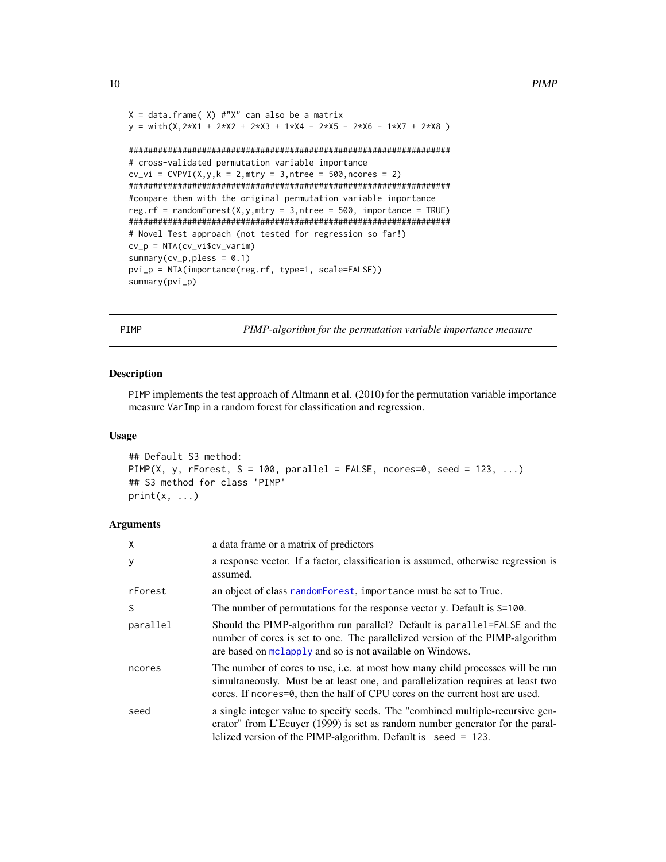```
X = data. frame( X) #"X" can also be a matrix
y = with(X, 2*X1 + 2*X2 + 2*X3 + 1*X4 - 2*X5 - 2*X6 - 1*X7 + 2*X8)##################################################################
# cross-validated permutation variable importance
cv\_vi = CVPVI(X, y, k = 2, mtry = 3, ntree = 500, ncores = 2)##################################################################
#compare them with the original permutation variable importance
reg.rf = randomForest(X, Y, mtry = 3, ntree = 500, importance = TRUE)
##################################################################
# Novel Test approach (not tested for regression so far!)
cv_p = NTA(cv_vi$cv_varim)
summary(cv_p, pless = 0.1)pvi_p = NTA(importance(reg.rf, type=1, scale=FALSE))
summary(pvi_p)
```
<span id="page-9-1"></span>PIMP *PIMP-algorithm for the permutation variable importance measure*

#### Description

PIMP implements the test approach of Altmann et al. (2010) for the permutation variable importance measure VarImp in a random forest for classification and regression.

#### Usage

```
## Default S3 method:
PIMP(X, y, rForest, S = 100, parallel = FALSE, ncores=0, seed = 123, \ldots)
## S3 method for class 'PIMP'
print(x, \ldots)
```
#### Arguments

| Χ        | a data frame or a matrix of predictors                                                                                                                                                                                                           |
|----------|--------------------------------------------------------------------------------------------------------------------------------------------------------------------------------------------------------------------------------------------------|
| У        | a response vector. If a factor, classification is assumed, otherwise regression is<br>assumed.                                                                                                                                                   |
| rForest  | an object of class random Forest, importance must be set to True.                                                                                                                                                                                |
| S        | The number of permutations for the response vector y. Default is S=100.                                                                                                                                                                          |
| parallel | Should the PIMP-algorithm run parallel? Default is parallel=FALSE and the<br>number of cores is set to one. The parallelized version of the PIMP-algorithm<br>are based on mclapply and so is not available on Windows.                          |
| ncores   | The number of cores to use, i.e. at most how many child processes will be run<br>simultaneously. Must be at least one, and parallelization requires at least two<br>cores. If ncores=0, then the half of CPU cores on the current host are used. |
| seed     | a single integer value to specify seeds. The "combined multiple-recursive gen-<br>erator" from L'Ecuyer (1999) is set as random number generator for the paral-<br>lelized version of the PIMP-algorithm. Default is seed = 123.                 |

<span id="page-9-0"></span>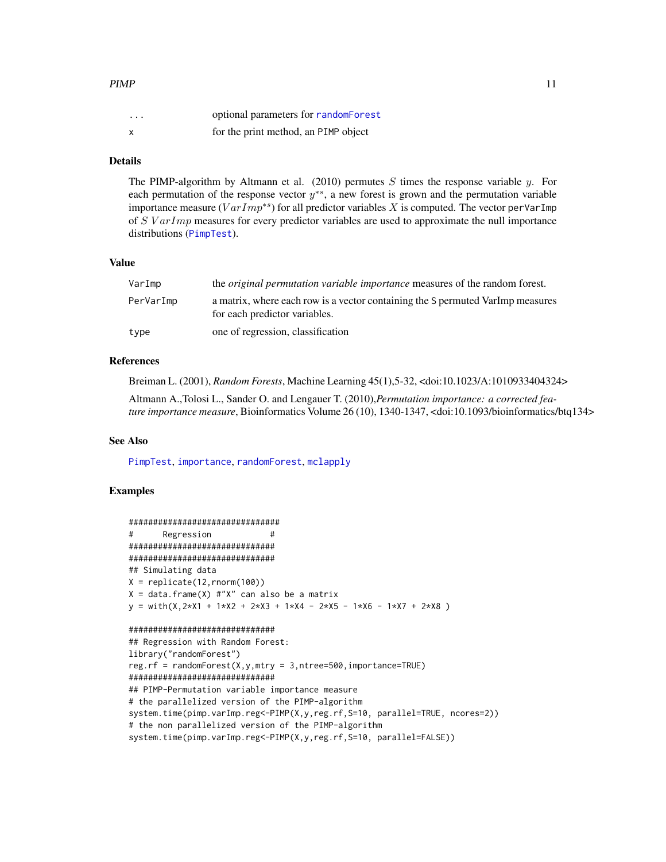# <span id="page-10-0"></span> $PIMP$  11

| $\cdots$                  | optional parameters for randomForest |
|---------------------------|--------------------------------------|
| $\boldsymbol{\mathsf{x}}$ | for the print method, an PIMP object |

# Details

The PIMP-algorithm by Altmann et al. (2010) permutes  $S$  times the response variable  $y$ . For each permutation of the response vector  $y^{*s}$ , a new forest is grown and the permutation variable importance measure ( $VarImp^{*s}$ ) for all predictor variables X is computed. The vector perVarImp of  $S \, VarImp$  measures for every predictor variables are used to approximate the null importance distributions ([PimpTest](#page-11-1)).

# Value

| VarImp    | the <i>original permutation variable importance</i> measures of the random forest.                              |
|-----------|-----------------------------------------------------------------------------------------------------------------|
| PerVarImp | a matrix, where each row is a vector containing the S permuted VarImp measures<br>for each predictor variables. |
| type      | one of regression, classification                                                                               |

# References

Breiman L. (2001), *Random Forests*, Machine Learning 45(1),5-32, <doi:10.1023/A:1010933404324>

Altmann A.,Tolosi L., Sander O. and Lengauer T. (2010),*Permutation importance: a corrected feature importance measure*, Bioinformatics Volume 26 (10), 1340-1347, <doi:10.1093/bioinformatics/btq134>

#### See Also

[PimpTest](#page-11-1), [importance](#page-0-0), [randomForest](#page-0-0), [mclapply](#page-0-0)

```
###############################
# Regression #
##############################
##############################
## Simulating data
X = \text{replicate}(12, \text{rnorm}(100))X = data. frame(X) \#"X" can also be a matrix
y = with(X, 2*X1 + 1*X2 + 2*X3 + 1*X4 - 2*X5 - 1*X6 - 1*X7 + 2*X8)##############################
## Regression with Random Forest:
library("randomForest")
reg.rf = randomForest(X,y,mtry = 3,ntree=500,importance=TRUE)
##############################
## PIMP-Permutation variable importance measure
# the parallelized version of the PIMP-algorithm
system.time(pimp.varImp.reg<-PIMP(X,y,reg.rf,S=10, parallel=TRUE, ncores=2))
# the non parallelized version of the PIMP-algorithm
system.time(pimp.varImp.reg<-PIMP(X,y,reg.rf,S=10, parallel=FALSE))
```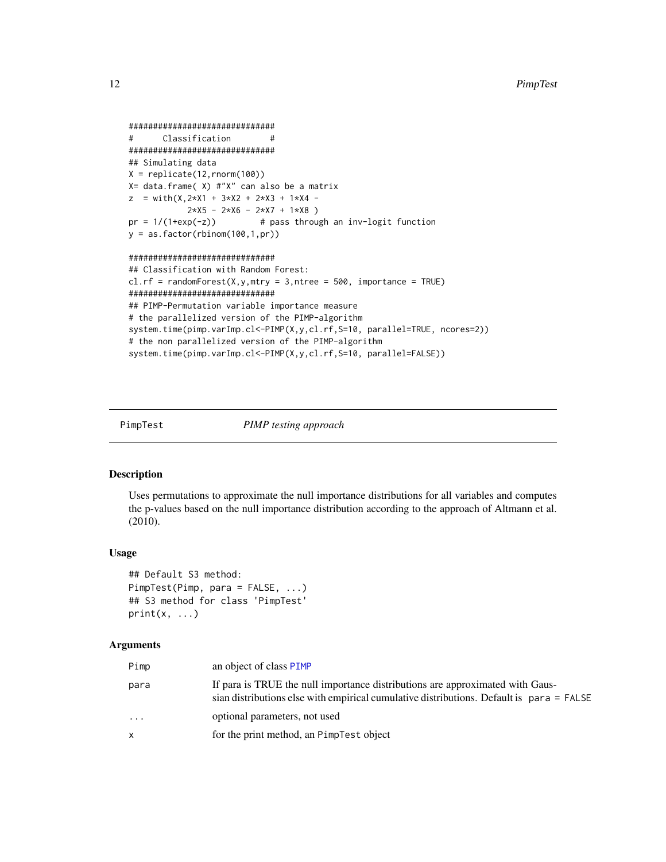```
##############################
# Classification #
##############################
## Simulating data
X = \text{replicate}(12, \text{rnorm}(100))X= data.frame( X) #"X" can also be a matrix
z = with(X, 2*X1 + 3*X2 + 2*X3 + 1*X4 - 1)2*X5 - 2*X6 - 2*X7 + 1*X8pr = 1/(1+exp(-z)) # pass through an inv-logit function
y = as.factor(rbinom{100,1,pr})##############################
## Classification with Random Forest:
cl.rf = randomForest(X, y, mtry = 3, ntree = 500, importance = TRUE)##############################
## PIMP-Permutation variable importance measure
# the parallelized version of the PIMP-algorithm
system.time(pimp.varImp.cl<-PIMP(X,y,cl.rf,S=10, parallel=TRUE, ncores=2))
# the non parallelized version of the PIMP-algorithm
system.time(pimp.varImp.cl<-PIMP(X,y,cl.rf,S=10, parallel=FALSE))
```
<span id="page-11-1"></span>

PimpTest *PIMP testing approach*

#### **Description**

Uses permutations to approximate the null importance distributions for all variables and computes the p-values based on the null importance distribution according to the approach of Altmann et al. (2010).

#### Usage

```
## Default S3 method:
PimpTest(Pimp, para = FALSE, ...)
## S3 method for class 'PimpTest'
print(x, \ldots)
```
#### Arguments

| Pimp     | an object of class PIMP                                                                                                                                                   |
|----------|---------------------------------------------------------------------------------------------------------------------------------------------------------------------------|
| para     | If para is TRUE the null importance distributions are approximated with Gaus-<br>sian distributions else with empirical cumulative distributions. Default is para = FALSE |
| $\cdots$ | optional parameters, not used                                                                                                                                             |
| x        | for the print method, an PimpTest object                                                                                                                                  |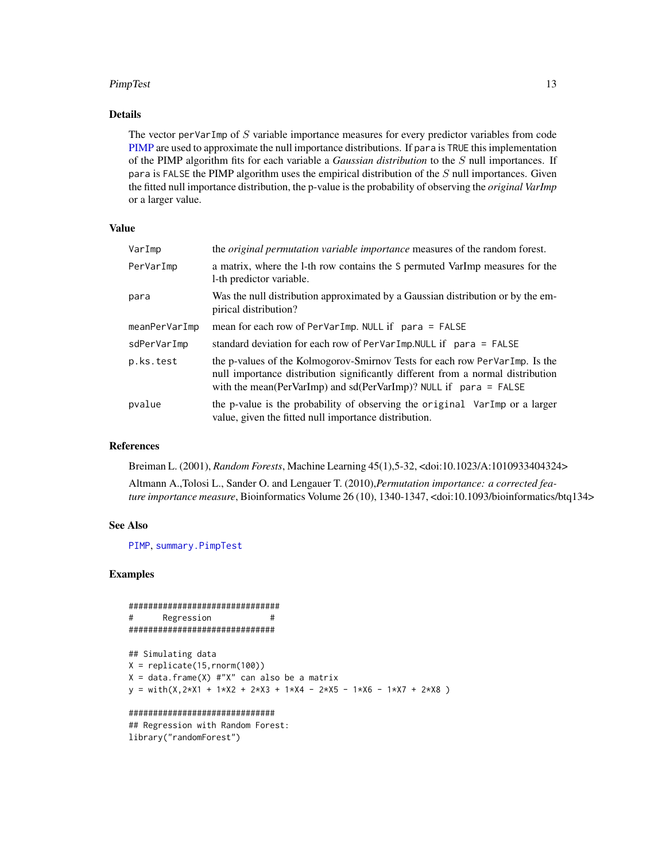#### <span id="page-12-0"></span>PimpTest 13

# Details

The vector per VarImp of  $S$  variable importance measures for every predictor variables from code [PIMP](#page-9-1) are used to approximate the null importance distributions. If para is TRUE this implementation of the PIMP algorithm fits for each variable a *Gaussian distribution* to the S null importances. If para is FALSE the PIMP algorithm uses the empirical distribution of the  $S$  null importances. Given the fitted null importance distribution, the p-value is the probability of observing the *original VarImp* or a larger value.

# Value

| VarImp        | the <i>original permutation variable importance</i> measures of the random forest.                                                                                                                                                   |
|---------------|--------------------------------------------------------------------------------------------------------------------------------------------------------------------------------------------------------------------------------------|
| PerVarImp     | a matrix, where the 1-th row contains the S permuted VarImp measures for the<br>1-th predictor variable.                                                                                                                             |
| para          | Was the null distribution approximated by a Gaussian distribution or by the em-<br>pirical distribution?                                                                                                                             |
| meanPerVarImp | mean for each row of PerVarImp. NULL if $para = FALSE$                                                                                                                                                                               |
| sdPerVarImp   | standard deviation for each row of PerVarImp. NULL if para = FALSE                                                                                                                                                                   |
| p.ks.test     | the p-values of the Kolmogorov-Smirnov Tests for each row PerVarImp. Is the<br>null importance distribution significantly different from a normal distribution<br>with the mean(PerVarImp) and sd(PerVarImp)? NULL if $para = FALSE$ |
| pvalue        | the p-value is the probability of observing the original VarImp or a larger<br>value, given the fitted null importance distribution.                                                                                                 |

# References

Breiman L. (2001), *Random Forests*, Machine Learning 45(1),5-32, <doi:10.1023/A:1010933404324>

Altmann A.,Tolosi L., Sander O. and Lengauer T. (2010),*Permutation importance: a corrected feature importance measure*, Bioinformatics Volume 26 (10), 1340-1347, <doi:10.1093/bioinformatics/btq134>

# See Also

[PIMP](#page-9-1), [summary.PimpTest](#page-14-1)

### Examples

```
###############################
# Regression #
##############################
```

```
## Simulating data
X = \text{replicate}(15, \text{rnorm}(100))X = data-frame(X) #"X" can also be a matrix
y = with(X, 2*X1 + 1*X2 + 2*X3 + 1*X4 - 2*X5 - 1*X6 - 1*X7 + 2*X8)
```
#### ##############################

## Regression with Random Forest: library("randomForest")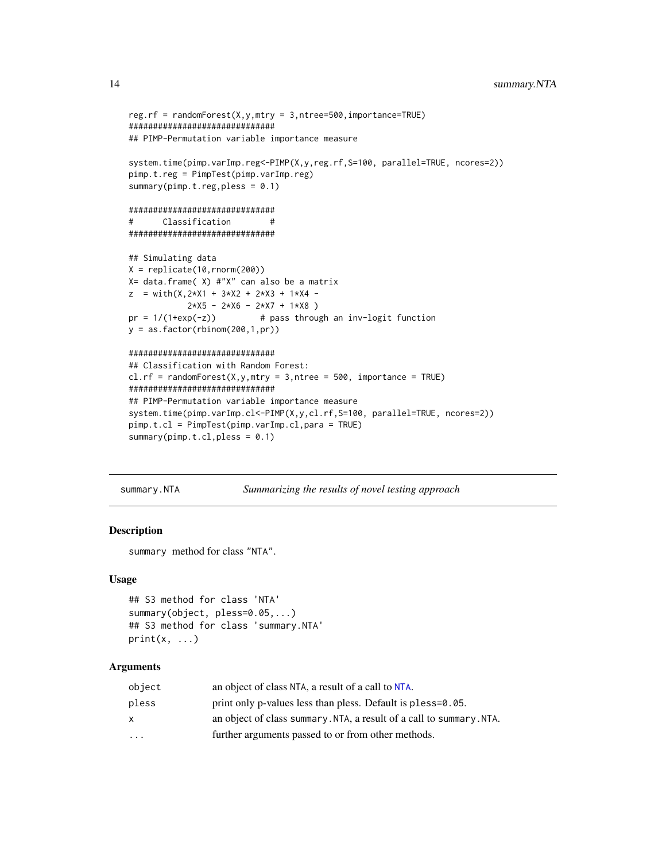```
reg.rf = randomForest(X,y,mtry = 3,ntree=500,importance=TRUE)
##############################
## PIMP-Permutation variable importance measure
system.time(pimp.varImp.reg<-PIMP(X,y,reg.rf,S=100, parallel=TRUE, ncores=2))
pimp.t.reg = PimpTest(pimp.varImp.reg)
summary(pimp.t.reg,pless = 0.1)
##############################
# Classification #
##############################
## Simulating data
X = \text{replicate}(10, \text{rnorm}(200))X= data.frame( X) #"X" can also be a matrix
z = with(X, 2*X1 + 3*X2 + 2*X3 + 1*X4 -2*X5 - 2*X6 - 2*X7 + 1*X8 )
pr = 1/(1+exp(-z)) # pass through an inv-logit function
y = as.factor(rbinom(200,1,pr))
##############################
## Classification with Random Forest:
cl.rf = randomForest(X, y, mtry = 3, ntree = 500, importance = TRUE)##############################
## PIMP-Permutation variable importance measure
system.time(pimp.varImp.cl<-PIMP(X,y,cl.rf,S=100, parallel=TRUE, ncores=2))
pimp.t.cl = PimpTest(pimp.varImp.cl,para = TRUE)
summary(pimp.t.cl,pless = 0.1)
```
summary.NTA *Summarizing the results of novel testing approach*

#### Description

summary method for class "NTA".

#### Usage

```
## S3 method for class 'NTA'
summary(object, pless=0.05,...)
## S3 method for class 'summary.NTA'
print(x, \ldots)
```
# Arguments

| object   | an object of class NTA, a result of a call to NTA.                   |
|----------|----------------------------------------------------------------------|
| pless    | print only p-values less than pless. Default is pless=0.05.          |
| x        | an object of class summary. NTA, a result of a call to summary. NTA. |
| $\cdots$ | further arguments passed to or from other methods.                   |

<span id="page-13-0"></span>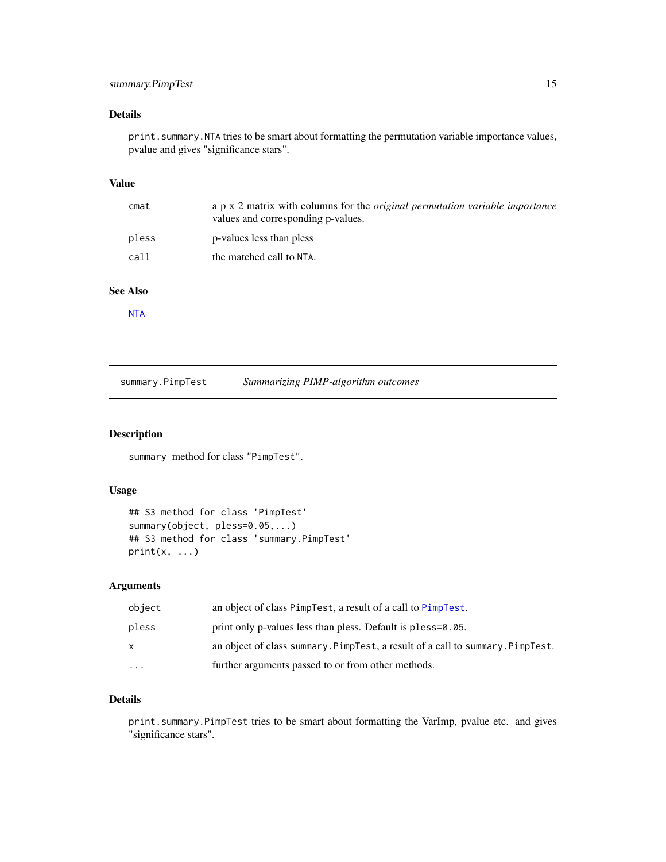# <span id="page-14-0"></span>Details

print.summary.NTA tries to be smart about formatting the permutation variable importance values, pvalue and gives "significance stars".

# Value

| cmat  | a p x 2 matrix with columns for the <i>original permutation variable importance</i><br>values and corresponding p-values. |
|-------|---------------------------------------------------------------------------------------------------------------------------|
| pless | p-values less than pless                                                                                                  |
| call  | the matched call to NTA.                                                                                                  |

# See Also

**[NTA](#page-7-1)** 

<span id="page-14-1"></span>

| summary.PimpTest | Summarizing PIMP-algorithm outcomes |  |
|------------------|-------------------------------------|--|
|                  |                                     |  |

# Description

summary method for class "PimpTest".

# Usage

```
## S3 method for class 'PimpTest'
summary(object, pless=0.05,...)
## S3 method for class 'summary.PimpTest'
print(x, \ldots)
```
# Arguments

| object   | an object of class PimpTest, a result of a call to PimpTest.                   |
|----------|--------------------------------------------------------------------------------|
| pless    | print only p-values less than pless. Default is pless=0.05.                    |
| x        | an object of class summary. PimpTest, a result of a call to summary. PimpTest. |
| $\cdots$ | further arguments passed to or from other methods.                             |

# Details

print.summary.PimpTest tries to be smart about formatting the VarImp, pvalue etc. and gives "significance stars".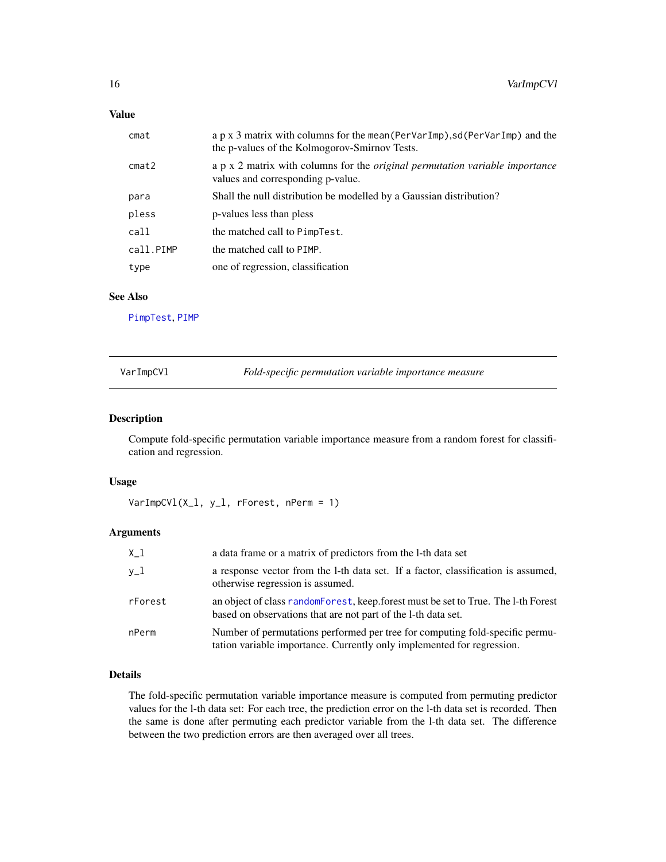# <span id="page-15-0"></span>Value

| cmat      | a p x 3 matrix with columns for the mean (PerVarImp), sd (PerVarImp) and the<br>the p-values of the Kolmogorov-Smirnov Tests. |
|-----------|-------------------------------------------------------------------------------------------------------------------------------|
| cmat2     | a p x 2 matrix with columns for the <i>original permutation variable importance</i><br>values and corresponding p-value.      |
| para      | Shall the null distribution be modelled by a Gaussian distribution?                                                           |
| pless     | p-values less than pless                                                                                                      |
| call      | the matched call to PimpTest.                                                                                                 |
| call.PIMP | the matched call to PIMP.                                                                                                     |
| type      | one of regression, classification                                                                                             |

# See Also

[PimpTest](#page-11-1), [PIMP](#page-9-1)

<span id="page-15-1"></span>VarImpCVl *Fold-specific permutation variable importance measure*

# Description

Compute fold-specific permutation variable importance measure from a random forest for classification and regression.

#### Usage

VarImpCVl(X\_l, y\_l, rForest, nPerm = 1)

# Arguments

| $X_1$   | a data frame or a matrix of predictors from the 1-th data set                                                                                          |
|---------|--------------------------------------------------------------------------------------------------------------------------------------------------------|
| $v_1$   | a response vector from the 1-th data set. If a factor, classification is assumed,<br>otherwise regression is assumed.                                  |
| rForest | an object of class random Forest, keep forest must be set to True. The 1-th Forest<br>based on observations that are not part of the 1-th data set.    |
| nPerm   | Number of permutations performed per tree for computing fold-specific permu-<br>tation variable importance. Currently only implemented for regression. |

# Details

The fold-specific permutation variable importance measure is computed from permuting predictor values for the l-th data set: For each tree, the prediction error on the l-th data set is recorded. Then the same is done after permuting each predictor variable from the l-th data set. The difference between the two prediction errors are then averaged over all trees.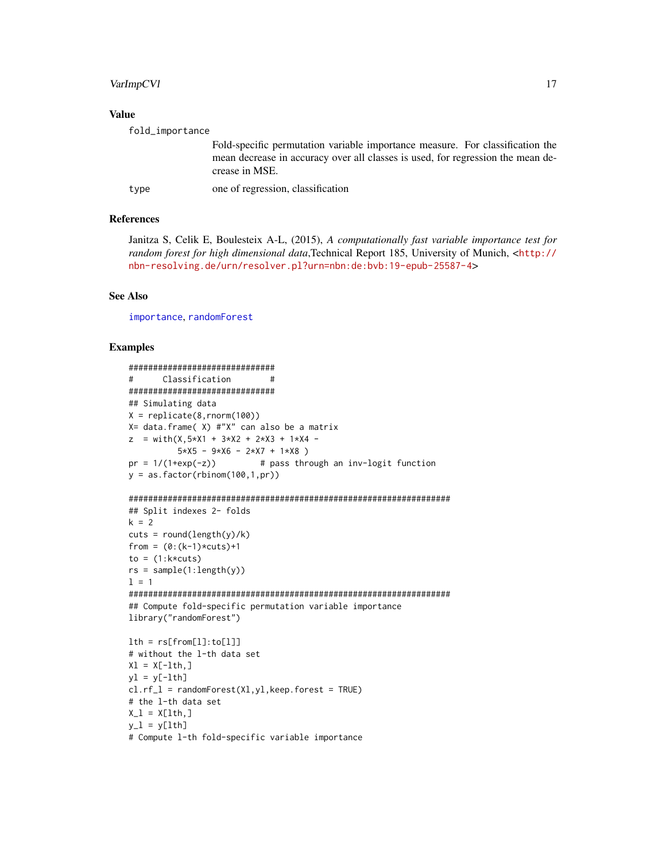# <span id="page-16-0"></span>VarImpCV1

#### **Value**

| fold_importance |                                                                                                                                                                                    |
|-----------------|------------------------------------------------------------------------------------------------------------------------------------------------------------------------------------|
|                 | Fold-specific permutation variable importance measure. For classification the<br>mean decrease in accuracy over all classes is used, for regression the mean de-<br>crease in MSE. |
| type            | one of regression, classification                                                                                                                                                  |

# **References**

Janitza S, Celik E, Boulesteix A-L, (2015), A computationally fast variable importance test for random forest for high dimensional data, Technical Report 185, University of Munich, <http:// nbn-resolving.de/urn/resolver.pl?urn=nbn:de:bvb:19-epub-25587-4>

#### **See Also**

importance, randomForest

```
##############################
     Classification #
###############################
## Simulating data
X = \text{replicate}(8, \text{norm}(100))X= data.frame( X) #"X" can also be a matrix
z = with(X, 5*X1 + 3*X2 + 2*X3 + 1*X4 -5*X5 - 9*X6 - 2*X7 + 1*X8)
pr = 1/(1+exp(-z))# pass through an inv-logit function
y = as.factor(rbinom{100,1,pr})## Split indexes 2- folds
k = 2cuts = round(length(y)/k)from = (0:(k-1)*cuts)+1to = (1:k*cuts)rs = sample(1:length(y))1 = 1## Compute fold-specific permutation variable importance
library("randomForest")
lth = rs[from[1]:to[1]]# without the 1-th data set
XI = X[-1th, ]y1 = y[-lth]cl.rf_l = randomForest(Xl, yl, keep.forest = TRUE)# the 1-th data set
X_l = X[lth, ]y_l = y[lth]# Compute 1-th fold-specific variable importance
```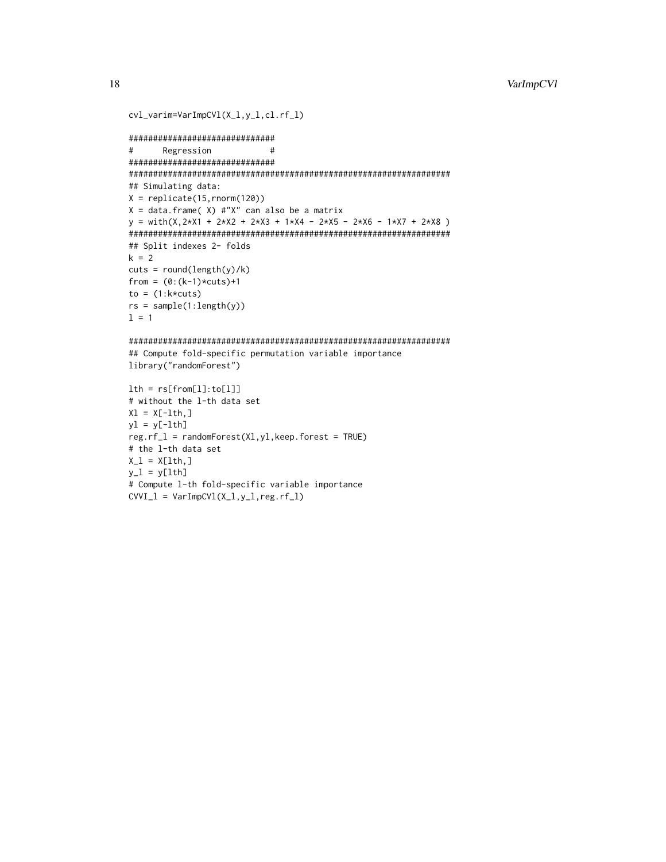```
cvl_varim=VarImpCVl(X_l,y_l,cl.rf_l)
```

```
*******************************
#Regression
                   ### Simulating data:
X = \text{replicate}(15, \text{norm}(120))X = data. frame( X) #"X" can also be a matrix
y = with(X, 2*X1 + 2*X2 + 2*X3 + 1*X4 - 2*X5 - 2*X6 - 1*X7 + 2*X8)## Split indexes 2- folds
k = 2cuts = round(length(y)/k)from = (0:(k-1)*cuts)+1to = (1:k*cuts)rs = sample(1:length(y))1 = 1
```

```
## Compute fold-specific permutation variable importance
library("randomForest")
```

```
lth = rs[from[1]:to[1]]# without the 1-th data set
X1 = X[-1th, ]y1 = y[-lth]reg.rf_1 = randomForest(X1,y1,keep.forest = TRUE)# the 1-th data set
X_l = X[lth, ]y_l = y[lth]# Compute 1-th fold-specific variable importance
CVVI_1 = VarImpCV1(X_1, y_1, reg.rf_1)
```
18